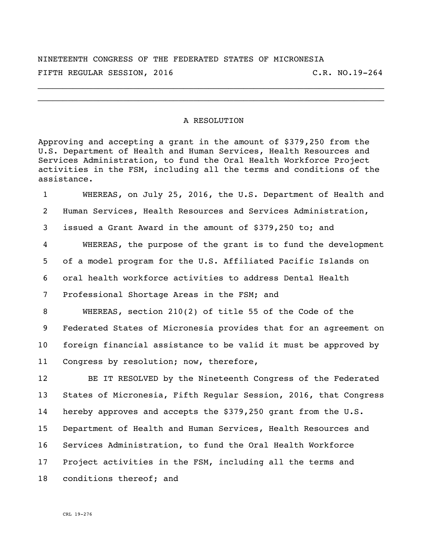NINETEENTH CONGRESS OF THE FEDERATED STATES OF MICRONESIA FIFTH REGULAR SESSION, 2016 C.R. NO.19-264

\_\_\_\_\_\_\_\_\_\_\_\_\_\_\_\_\_\_\_\_\_\_\_\_\_\_\_\_\_\_\_\_\_\_\_\_\_\_\_\_\_\_\_\_\_\_\_\_\_\_\_\_\_\_\_\_\_\_\_\_\_\_\_\_\_\_\_\_\_ \_\_\_\_\_\_\_\_\_\_\_\_\_\_\_\_\_\_\_\_\_\_\_\_\_\_\_\_\_\_\_\_\_\_\_\_\_\_\_\_\_\_\_\_\_\_\_\_\_\_\_\_\_\_\_\_\_\_\_\_\_\_\_\_\_\_\_\_\_

## A RESOLUTION

Approving and accepting a grant in the amount of \$379,250 from the U.S. Department of Health and Human Services, Health Resources and Services Administration, to fund the Oral Health Workforce Project activities in the FSM, including all the terms and conditions of the assistance.

 WHEREAS, on July 25, 2016, the U.S. Department of Health and Human Services, Health Resources and Services Administration, issued a Grant Award in the amount of \$379,250 to; and WHEREAS, the purpose of the grant is to fund the development of a model program for the U.S. Affiliated Pacific Islands on oral health workforce activities to address Dental Health Professional Shortage Areas in the FSM; and WHEREAS, section 210(2) of title 55 of the Code of the Federated States of Micronesia provides that for an agreement on foreign financial assistance to be valid it must be approved by Congress by resolution; now, therefore, BE IT RESOLVED by the Nineteenth Congress of the Federated States of Micronesia, Fifth Regular Session, 2016, that Congress hereby approves and accepts the \$379,250 grant from the U.S. Department of Health and Human Services, Health Resources and Services Administration, to fund the Oral Health Workforce Project activities in the FSM, including all the terms and

conditions thereof; and

CRL 19-276